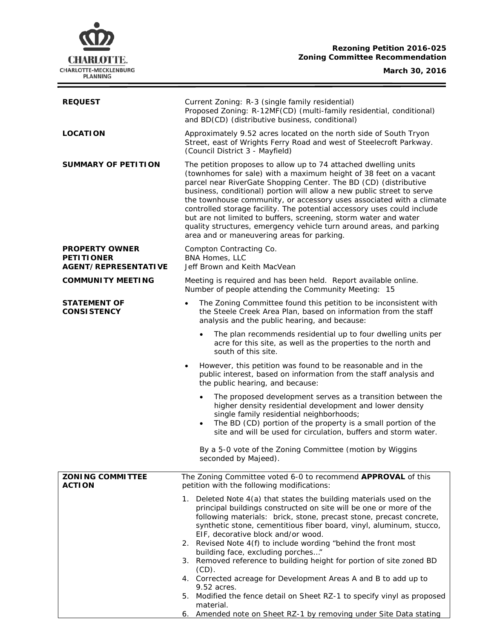# **CHARLOTTE.** CHARLOTTE-MECKLENBURG<br>PLANNING

# **Rezoning Petition 2016-025 Zoning Committee Recommendation**

## **March 30, 2016**

Ξ

| <b>REQUEST</b>                                                            | Current Zoning: R-3 (single family residential)<br>Proposed Zoning: R-12MF(CD) (multi-family residential, conditional)<br>and BD(CD) (distributive business, conditional)                                                                                                                                                                                                                                                                                                                                                                                                                                                       |
|---------------------------------------------------------------------------|---------------------------------------------------------------------------------------------------------------------------------------------------------------------------------------------------------------------------------------------------------------------------------------------------------------------------------------------------------------------------------------------------------------------------------------------------------------------------------------------------------------------------------------------------------------------------------------------------------------------------------|
| <b>LOCATION</b>                                                           | Approximately 9.52 acres located on the north side of South Tryon<br>Street, east of Wrights Ferry Road and west of Steelecroft Parkway.<br>(Council District 3 - Mayfield)                                                                                                                                                                                                                                                                                                                                                                                                                                                     |
| <b>SUMMARY OF PETITION</b>                                                | The petition proposes to allow up to 74 attached dwelling units<br>(townhomes for sale) with a maximum height of 38 feet on a vacant<br>parcel near RiverGate Shopping Center. The BD (CD) (distributive<br>business, conditional) portion will allow a new public street to serve<br>the townhouse community, or accessory uses associated with a climate<br>controlled storage facility. The potential accessory uses could include<br>but are not limited to buffers, screening, storm water and water<br>quality structures, emergency vehicle turn around areas, and parking<br>area and or maneuvering areas for parking. |
| <b>PROPERTY OWNER</b><br><b>PETITIONER</b><br><b>AGENT/REPRESENTATIVE</b> | Compton Contracting Co.<br>BNA Homes, LLC<br>Jeff Brown and Keith MacVean                                                                                                                                                                                                                                                                                                                                                                                                                                                                                                                                                       |
| <b>COMMUNITY MEETING</b>                                                  | Meeting is required and has been held. Report available online.<br>Number of people attending the Community Meeting: 15                                                                                                                                                                                                                                                                                                                                                                                                                                                                                                         |
| <b>STATEMENT OF</b><br><b>CONSISTENCY</b>                                 | The Zoning Committee found this petition to be inconsistent with<br>$\bullet$<br>the Steele Creek Area Plan, based on information from the staff<br>analysis and the public hearing, and because:                                                                                                                                                                                                                                                                                                                                                                                                                               |
|                                                                           | The plan recommends residential up to four dwelling units per<br>acre for this site, as well as the properties to the north and<br>south of this site.                                                                                                                                                                                                                                                                                                                                                                                                                                                                          |
|                                                                           | However, this petition was found to be reasonable and in the<br>٠<br>public interest, based on information from the staff analysis and<br>the public hearing, and because:                                                                                                                                                                                                                                                                                                                                                                                                                                                      |
|                                                                           | The proposed development serves as a transition between the<br>higher density residential development and lower density<br>single family residential neighborhoods;<br>The BD (CD) portion of the property is a small portion of the<br>$\bullet$<br>site and will be used for circulation, buffers and storm water.                                                                                                                                                                                                                                                                                                            |
|                                                                           | By a 5-0 vote of the Zoning Committee (motion by Wiggins<br>seconded by Majeed).                                                                                                                                                                                                                                                                                                                                                                                                                                                                                                                                                |
| <b>ZONING COMMITTEE</b><br><b>ACTION</b>                                  | The Zoning Committee voted 6-0 to recommend APPROVAL of this<br>petition with the following modifications:                                                                                                                                                                                                                                                                                                                                                                                                                                                                                                                      |
|                                                                           | 1. Deleted Note 4(a) that states the building materials used on the<br>principal buildings constructed on site will be one or more of the<br>following materials: brick, stone, precast stone, precast concrete,<br>synthetic stone, cementitious fiber board, vinyl, aluminum, stucco,<br>EIF, decorative block and/or wood.                                                                                                                                                                                                                                                                                                   |
|                                                                           | 2. Revised Note 4(f) to include wording "behind the front most<br>building face, excluding porches"                                                                                                                                                                                                                                                                                                                                                                                                                                                                                                                             |
|                                                                           | 3. Removed reference to building height for portion of site zoned BD<br>$(CD)$ .                                                                                                                                                                                                                                                                                                                                                                                                                                                                                                                                                |
|                                                                           | 4. Corrected acreage for Development Areas A and B to add up to<br>9.52 acres.                                                                                                                                                                                                                                                                                                                                                                                                                                                                                                                                                  |
|                                                                           | Modified the fence detail on Sheet RZ-1 to specify vinyl as proposed<br>5.<br>material.                                                                                                                                                                                                                                                                                                                                                                                                                                                                                                                                         |
|                                                                           | 6. Amended note on Sheet RZ-1 by removing under Site Data stating                                                                                                                                                                                                                                                                                                                                                                                                                                                                                                                                                               |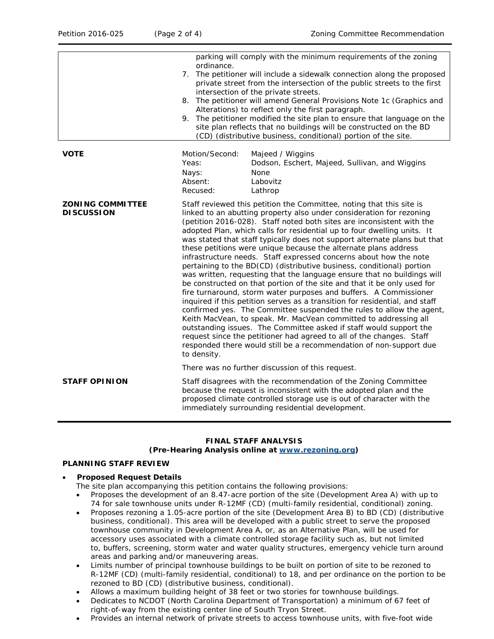|                                              | parking will comply with the minimum requirements of the zoning<br>ordinance.<br>7. The petitioner will include a sidewalk connection along the proposed<br>private street from the intersection of the public streets to the first<br>intersection of the private streets.<br>8. The petitioner will amend General Provisions Note 1c (Graphics and<br>Alterations) to reflect only the first paragraph.<br>9. The petitioner modified the site plan to ensure that language on the<br>site plan reflects that no buildings will be constructed on the BD<br>(CD) (distributive business, conditional) portion of the site.                                                                                                                                                                                                                                                                                                                                                                                                                                                                                                                                                                                                                                                            |
|----------------------------------------------|-----------------------------------------------------------------------------------------------------------------------------------------------------------------------------------------------------------------------------------------------------------------------------------------------------------------------------------------------------------------------------------------------------------------------------------------------------------------------------------------------------------------------------------------------------------------------------------------------------------------------------------------------------------------------------------------------------------------------------------------------------------------------------------------------------------------------------------------------------------------------------------------------------------------------------------------------------------------------------------------------------------------------------------------------------------------------------------------------------------------------------------------------------------------------------------------------------------------------------------------------------------------------------------------|
| <b>VOTE</b>                                  | Motion/Second:<br>Majeed / Wiggins<br>Dodson, Eschert, Majeed, Sullivan, and Wiggins<br>Yeas:<br>Nays:<br>None<br>Absent:<br>Labovitz<br>Recused:<br>Lathrop                                                                                                                                                                                                                                                                                                                                                                                                                                                                                                                                                                                                                                                                                                                                                                                                                                                                                                                                                                                                                                                                                                                            |
| <b>ZONING COMMITTEE</b><br><b>DISCUSSION</b> | Staff reviewed this petition the Committee, noting that this site is<br>linked to an abutting property also under consideration for rezoning<br>(petition 2016-028). Staff noted both sites are inconsistent with the<br>adopted Plan, which calls for residential up to four dwelling units. It<br>was stated that staff typically does not support alternate plans but that<br>these petitions were unique because the alternate plans address<br>infrastructure needs. Staff expressed concerns about how the note<br>pertaining to the BD(CD) (distributive business, conditional) portion<br>was written, requesting that the language ensure that no buildings will<br>be constructed on that portion of the site and that it be only used for<br>fire turnaround, storm water purposes and buffers. A Commissioner<br>inquired if this petition serves as a transition for residential, and staff<br>confirmed yes. The Committee suspended the rules to allow the agent,<br>Keith MacVean, to speak. Mr. MacVean committed to addressing all<br>outstanding issues. The Committee asked if staff would support the<br>request since the petitioner had agreed to all of the changes. Staff<br>responded there would still be a recommendation of non-support due<br>to density. |
| <b>STAFF OPINION</b>                         | There was no further discussion of this request.<br>Staff disagrees with the recommendation of the Zoning Committee<br>because the request is inconsistent with the adopted plan and the<br>proposed climate controlled storage use is out of character with the                                                                                                                                                                                                                                                                                                                                                                                                                                                                                                                                                                                                                                                                                                                                                                                                                                                                                                                                                                                                                        |
|                                              | immediately surrounding residential development.                                                                                                                                                                                                                                                                                                                                                                                                                                                                                                                                                                                                                                                                                                                                                                                                                                                                                                                                                                                                                                                                                                                                                                                                                                        |

## **FINAL STAFF ANALYSIS (Pre-Hearing Analysis online at [www.rezoning.org\)](http://www.rezoning.org/)**

# **PLANNING STAFF REVIEW**

### • **Proposed Request Details**

The site plan accompanying this petition contains the following provisions:

- Proposes the development of an 8.47-acre portion of the site (Development Area A) with up to 74 for sale townhouse units under R-12MF (CD) (multi-family residential, conditional) zoning.
- Proposes rezoning a 1.05-acre portion of the site (Development Area B) to BD (CD) (distributive business, conditional). This area will be developed with a public street to serve the proposed townhouse community in Development Area A, or, as an Alternative Plan, will be used for accessory uses associated with a climate controlled storage facility such as, but not limited to, buffers, screening, storm water and water quality structures, emergency vehicle turn around areas and parking and/or maneuvering areas.
- Limits number of principal townhouse buildings to be built on portion of site to be rezoned to R-12MF (CD) (multi-family residential, conditional) to 18, and per ordinance on the portion to be rezoned to BD (CD) (distributive business, conditional).
- Allows a maximum building height of 38 feet or two stories for townhouse buildings.
- Dedicates to NCDOT (North Carolina Department of Transportation) a minimum of 67 feet of right-of-way from the existing center line of South Tryon Street.
- Provides an internal network of private streets to access townhouse units, with five-foot wide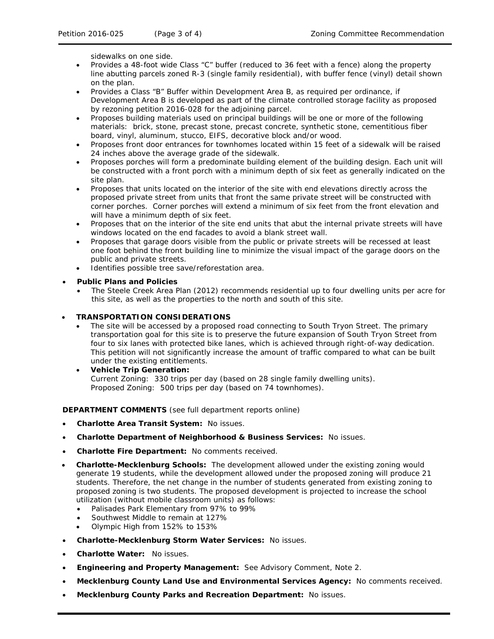sidewalks on one side.

- Provides a 48-foot wide Class "C" buffer (reduced to 36 feet with a fence) along the property line abutting parcels zoned R-3 (single family residential), with buffer fence (vinyl) detail shown on the plan.
- Provides a Class "B" Buffer within Development Area B, as required per ordinance, if Development Area B is developed as part of the climate controlled storage facility as proposed by rezoning petition 2016-028 for the adjoining parcel.
- Proposes building materials used on principal buildings will be one or more of the following materials: brick, stone, precast stone, precast concrete, synthetic stone, cementitious fiber board, vinyl, aluminum, stucco, EIFS, decorative block and/or wood.
- Proposes front door entrances for townhomes located within 15 feet of a sidewalk will be raised 24 inches above the average grade of the sidewalk.
- Proposes porches will form a predominate building element of the building design. Each unit will be constructed with a front porch with a minimum depth of six feet as generally indicated on the site plan.
- Proposes that units located on the interior of the site with end elevations directly across the proposed private street from units that front the same private street will be constructed with corner porches. Corner porches will extend a minimum of six feet from the front elevation and will have a minimum depth of six feet.
- Proposes that on the interior of the site end units that abut the internal private streets will have windows located on the end facades to avoid a blank street wall.
- Proposes that garage doors visible from the public or private streets will be recessed at least one foot behind the front building line to minimize the visual impact of the garage doors on the public and private streets.
- Identifies possible tree save/reforestation area.
- **Public Plans and Policies**
	- The *Steele Creek Area Plan* (2012) recommends residential up to four dwelling units per acre for this site, as well as the properties to the north and south of this site.
- **TRANSPORTATION CONSIDERATIONS**
	- The site will be accessed by a proposed road connecting to South Tryon Street. The primary transportation goal for this site is to preserve the future expansion of South Tryon Street from four to six lanes with protected bike lanes, which is achieved through right-of-way dedication. This petition will not significantly increase the amount of traffic compared to what can be built under the existing entitlements.
	- **Vehicle Trip Generation:** Current Zoning: 330 trips per day (based on 28 single family dwelling units). Proposed Zoning: 500 trips per day (based on 74 townhomes).

**DEPARTMENT COMMENTS** (see full department reports online)

- **Charlotte Area Transit System:** No issues.
- **Charlotte Department of Neighborhood & Business Services:** No issues.
- **Charlotte Fire Department:** No comments received.
- **Charlotte-Mecklenburg Schools:** The development allowed under the existing zoning would generate 19 students, while the development allowed under the proposed zoning will produce 21 students. Therefore, the net change in the number of students generated from existing zoning to proposed zoning is two students. The proposed development is projected to increase the school utilization (without mobile classroom units) as follows:
	- Palisades Park Elementary from 97% to 99%
	- Southwest Middle to remain at 127%
	- Olympic High from 152% to 153%
- **Charlotte-Mecklenburg Storm Water Services:** No issues.
- **Charlotte Water:** No issues.
- **Engineering and Property Management:** See Advisory Comment, Note 2.
- **Mecklenburg County Land Use and Environmental Services Agency:** No comments received.
- **Mecklenburg County Parks and Recreation Department:** No issues.